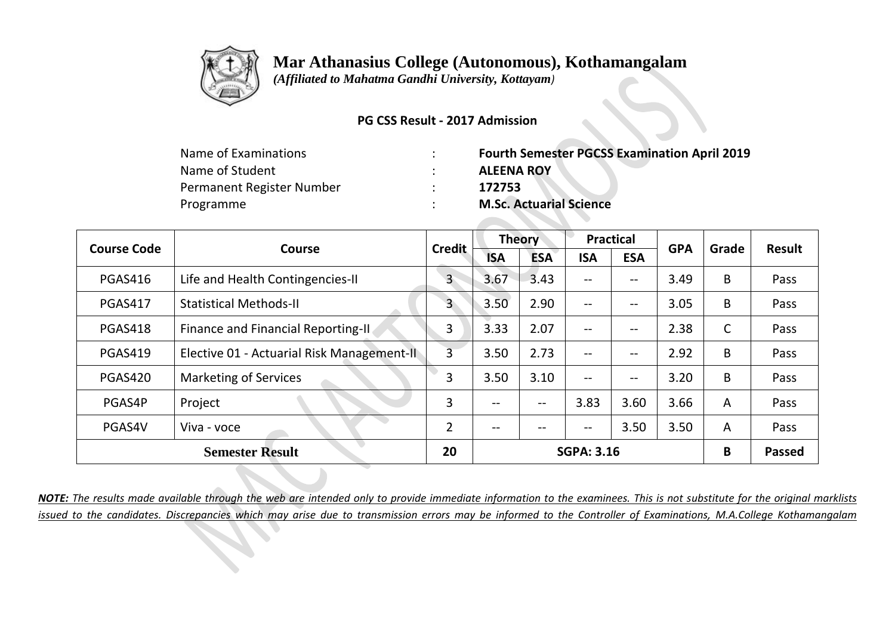

 *(Affiliated to Mahatma Gandhi University, Kottayam)*

#### **PG CSS Result - 2017 Admission**

| Name of Examinations      | <b>Fourth Semester PGCSS Examination April 2019</b> |
|---------------------------|-----------------------------------------------------|
| Name of Student           | <b>ALEENA ROY</b>                                   |
| Permanent Register Number | 172753                                              |
| Programme                 | <b>M.Sc. Actuarial Science</b>                      |

| <b>Course Code</b> | Course                                     | <b>Credit</b>  | <b>Theory</b> |            | <b>Practical</b>  |            | <b>GPA</b> | Grade | <b>Result</b> |
|--------------------|--------------------------------------------|----------------|---------------|------------|-------------------|------------|------------|-------|---------------|
|                    |                                            |                | <b>ISA</b>    | <b>ESA</b> | <b>ISA</b>        | <b>ESA</b> |            |       |               |
| <b>PGAS416</b>     | Life and Health Contingencies-II           | $\mathsf{3}$   | 3.67          | 3.43       | $-$               | --         | 3.49       | B     | Pass          |
| <b>PGAS417</b>     | <b>Statistical Methods-II</b>              | 3              | 3.50          | 2.90       | $\qquad \qquad -$ | --         | 3.05       | B     | Pass          |
| <b>PGAS418</b>     | Finance and Financial Reporting-II.        | 3              | 3.33          | 2.07       | $- -$             | --         | 2.38       | C     | Pass          |
| PGAS419            | Elective 01 - Actuarial Risk Management-II | $\overline{3}$ | 3.50          | 2.73       | $\qquad \qquad -$ | $- -$      | 2.92       | B     | Pass          |
| PGAS420            | <b>Marketing of Services</b>               | 3              | 3.50          | 3.10       | $- -$             | $- -$      | 3.20       | B     | Pass          |
| PGAS4P             | Project                                    | 3              | --            | $- -$      | 3.83              | 3.60       | 3.66       | A     | Pass          |
| PGAS4V             | Viva - voce                                | $\overline{2}$ | --            |            | --                | 3.50       | 3.50       | A     | Pass          |
|                    | <b>Semester Result</b>                     | 20             |               |            | <b>SGPA: 3.16</b> |            |            | B     | <b>Passed</b> |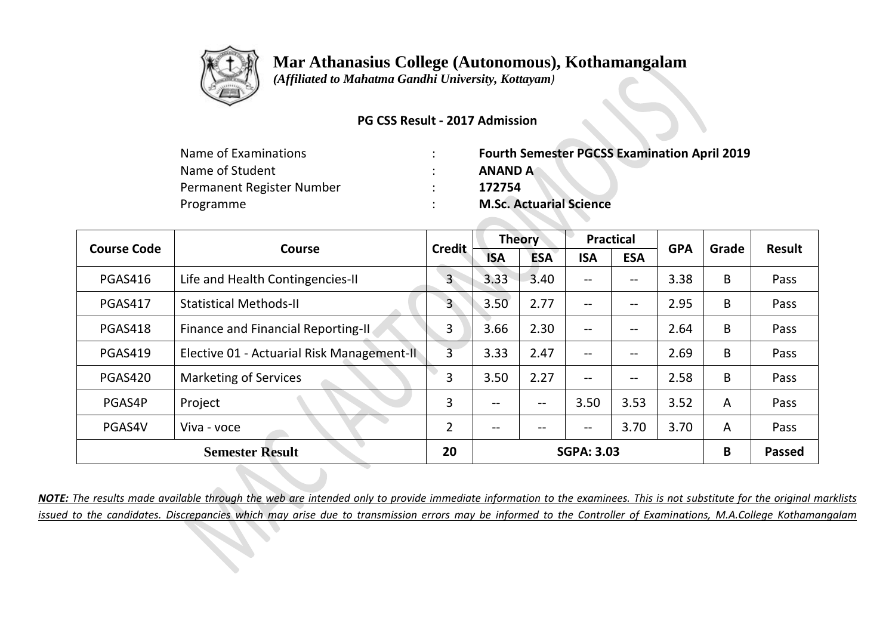

 *(Affiliated to Mahatma Gandhi University, Kottayam)*

### **PG CSS Result - 2017 Admission**

| <b>Fourth Semester PGCSS Examination April 2019</b> |
|-----------------------------------------------------|
| <b>ANAND A</b>                                      |
| 172754                                              |
| <b>M.Sc. Actuarial Science</b>                      |
|                                                     |

| <b>Course Code</b> | Course                                     | <b>Credit</b>  | <b>Theory</b> |            | <b>Practical</b>  |            | <b>GPA</b> | Grade | <b>Result</b> |
|--------------------|--------------------------------------------|----------------|---------------|------------|-------------------|------------|------------|-------|---------------|
|                    |                                            |                | <b>ISA</b>    | <b>ESA</b> | <b>ISA</b>        | <b>ESA</b> |            |       |               |
| <b>PGAS416</b>     | Life and Health Contingencies-II           | $\mathsf{3}$   | 3.33          | 3.40       | $-$               | --         | 3.38       | B     | Pass          |
| <b>PGAS417</b>     | <b>Statistical Methods-II</b>              | 3              | 3.50          | 2.77       | $\qquad \qquad -$ | --         | 2.95       | B     | Pass          |
| <b>PGAS418</b>     | Finance and Financial Reporting-II.        | 3              | 3.66          | 2.30       | $- -$             | --         | 2.64       | B     | Pass          |
| PGAS419            | Elective 01 - Actuarial Risk Management-II | $\overline{3}$ | 3.33          | 2.47       | $\qquad \qquad -$ | $- -$      | 2.69       | B     | Pass          |
| PGAS420            | <b>Marketing of Services</b>               | 3              | 3.50          | 2.27       | $\qquad \qquad -$ | $- -$      | 2.58       | B     | Pass          |
| PGAS4P             | Project                                    | 3              | --            | $- -$      | 3.50              | 3.53       | 3.52       | A     | Pass          |
| PGAS4V             | Viva - voce                                | $\overline{2}$ | --            |            | --                | 3.70       | 3.70       | A     | Pass          |
|                    | <b>Semester Result</b>                     | 20             |               |            | <b>SGPA: 3.03</b> |            |            | B     | <b>Passed</b> |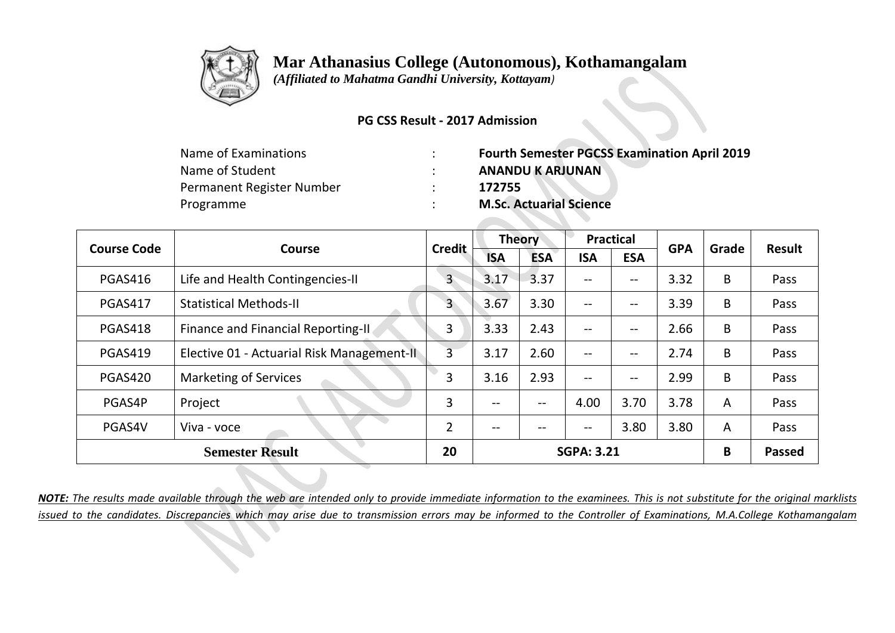

 *(Affiliated to Mahatma Gandhi University, Kottayam)*

### **PG CSS Result - 2017 Admission**

| <b>Fourth Semester PGCSS Examination April 2019</b> |
|-----------------------------------------------------|
| <b>ANANDU K ARJUNAN</b>                             |
| 172755                                              |
| <b>M.Sc. Actuarial Science</b>                      |
|                                                     |

| <b>Course Code</b> | Course                                     | <b>Credit</b>  | <b>Theory</b> |                   | <b>Practical</b>                    |                   | <b>GPA</b> | Grade          | <b>Result</b> |
|--------------------|--------------------------------------------|----------------|---------------|-------------------|-------------------------------------|-------------------|------------|----------------|---------------|
|                    |                                            |                | <b>ISA</b>    | <b>ESA</b>        | <b>ISA</b>                          | <b>ESA</b>        |            |                |               |
| <b>PGAS416</b>     | Life and Health Contingencies-II           | 3              | 3.17          | 3.37              | $\qquad \qquad -$                   | --                | 3.32       | B              | Pass          |
| <b>PGAS417</b>     | <b>Statistical Methods-II</b>              | 3              | 3.67          | 3.30              | $\qquad \qquad -$                   | --                | 3.39       | B              | Pass          |
| PGAS418            | Finance and Financial Reporting-II         | 3              | 3.33          | 2.43              | $\qquad \qquad -$                   | $\qquad \qquad -$ | 2.66       | B              | Pass          |
| <b>PGAS419</b>     | Elective 01 - Actuarial Risk Management-II | 3              | 3.17          | 2.60              | $\qquad \qquad -$                   | $\qquad \qquad -$ | 2.74       | B              | Pass          |
| PGAS420            | <b>Marketing of Services</b>               | 3              | 3.16          | 2.93              | $\qquad \qquad -$                   | $-\!$ $-$         | 2.99       | B              | Pass          |
| PGAS4P             | Project                                    | 3              | $- -$         | $\qquad \qquad -$ | 4.00                                | 3.70              | 3.78       | A              | Pass          |
| PGAS4V             | Viva - voce                                | $\overline{2}$ | --            |                   | $\hspace{0.04in}$ $\hspace{0.04in}$ | 3.80              | 3.80       | $\overline{A}$ | Pass          |
|                    | <b>Semester Result</b>                     | 20             |               |                   | <b>SGPA: 3.21</b>                   |                   |            | B              | <b>Passed</b> |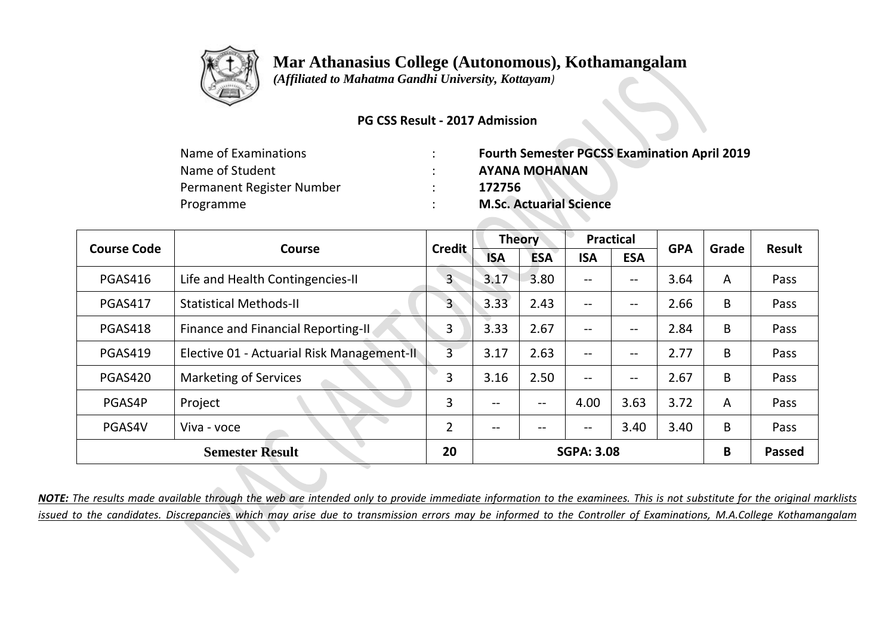

 *(Affiliated to Mahatma Gandhi University, Kottayam)*

### **PG CSS Result - 2017 Admission**

| <b>Fourth Semester PGCSS Examination April 2019</b> |
|-----------------------------------------------------|
| <b>AYANA MOHANAN</b>                                |
| 172756                                              |
| <b>M.Sc. Actuarial Science</b>                      |
|                                                     |

| <b>Course Code</b> | Course                                     | <b>Credit</b>  | <b>Theory</b> |                   | <b>Practical</b>  |                   | <b>GPA</b> | Grade | <b>Result</b> |
|--------------------|--------------------------------------------|----------------|---------------|-------------------|-------------------|-------------------|------------|-------|---------------|
|                    |                                            |                | <b>ISA</b>    | <b>ESA</b>        | <b>ISA</b>        | <b>ESA</b>        |            |       |               |
| <b>PGAS416</b>     | Life and Health Contingencies-II           | 3              | 3.17          | 3.80              | $\qquad \qquad -$ | --                | 3.64       | A     | Pass          |
| <b>PGAS417</b>     | <b>Statistical Methods-II</b>              | 3              | 3.33          | 2.43              | $\qquad \qquad -$ | $\qquad \qquad -$ | 2.66       | B     | Pass          |
| PGAS418            | Finance and Financial Reporting-II         | 3              | 3.33          | 2.67              | $\qquad \qquad -$ | $\qquad \qquad -$ | 2.84       | B     | Pass          |
| <b>PGAS419</b>     | Elective 01 - Actuarial Risk Management-II | 3              | 3.17          | 2.63              | $\qquad \qquad -$ | $\qquad \qquad -$ | 2.77       | B     | Pass          |
| PGAS420            | <b>Marketing of Services</b>               | 3              | 3.16          | 2.50              | $\qquad \qquad -$ | $-\!$ $-$         | 2.67       | B     | Pass          |
| PGAS4P             | Project                                    | 3              | $- -$         | $\qquad \qquad -$ | 4.00              | 3.63              | 3.72       | A     | Pass          |
| PGAS4V             | Viva - voce                                | $\overline{2}$ | --            | --                | $- -$             | 3.40              | 3.40       | B     | Pass          |
|                    | <b>Semester Result</b>                     | 20             |               |                   | <b>SGPA: 3.08</b> |                   |            | B     | <b>Passed</b> |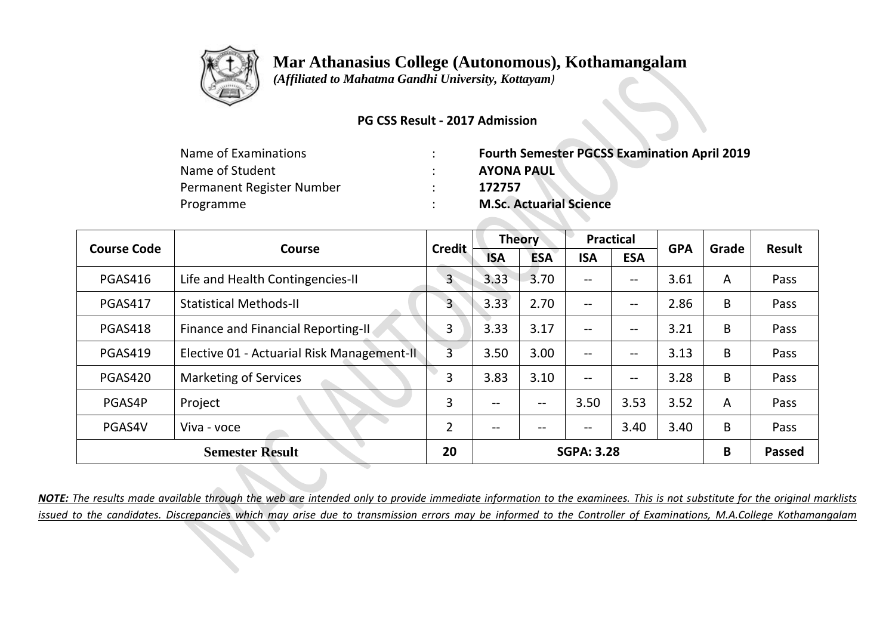

 *(Affiliated to Mahatma Gandhi University, Kottayam)*

#### **PG CSS Result - 2017 Admission**

| <b>Fourth Semester PGCSS Examination April 2019</b> |
|-----------------------------------------------------|
|                                                     |
|                                                     |
|                                                     |
|                                                     |

| <b>Course Code</b> | Course                                     | <b>Credit</b>  | <b>Theory</b> |            | <b>Practical</b>  |            | <b>GPA</b> | Grade | <b>Result</b> |
|--------------------|--------------------------------------------|----------------|---------------|------------|-------------------|------------|------------|-------|---------------|
|                    |                                            |                | <b>ISA</b>    | <b>ESA</b> | <b>ISA</b>        | <b>ESA</b> |            |       |               |
| PGAS416            | Life and Health Contingencies-II           | 3              | 3.33          | 3.70       | $- -$             | --         | 3.61       | A     | Pass          |
| <b>PGAS417</b>     | <b>Statistical Methods-II</b>              | 3              | 3.33          | 2.70       | $-$               | --         | 2.86       | B     | Pass          |
| <b>PGAS418</b>     | Finance and Financial Reporting-II.        | 3              | 3.33          | 3.17       | $\qquad \qquad -$ | $- -$      | 3.21       | B     | Pass          |
| PGAS419            | Elective 01 - Actuarial Risk Management-II | $\overline{3}$ | 3.50          | 3.00       | $- -$             | $- -$      | 3.13       | B     | Pass          |
| PGAS420            | <b>Marketing of Services</b>               | 3              | 3.83          | 3.10       | $\qquad \qquad -$ | --         | 3.28       | B     | Pass          |
| PGAS4P             | Project                                    | 3              | --            | $- -$      | 3.50              | 3.53       | 3.52       | A     | Pass          |
| PGAS4V             | Viva - voce                                | $\overline{2}$ | --            | --         | $\qquad \qquad -$ | 3.40       | 3.40       | B     | Pass          |
|                    | <b>Semester Result</b>                     | 20             |               |            | <b>SGPA: 3.28</b> |            |            | B     | <b>Passed</b> |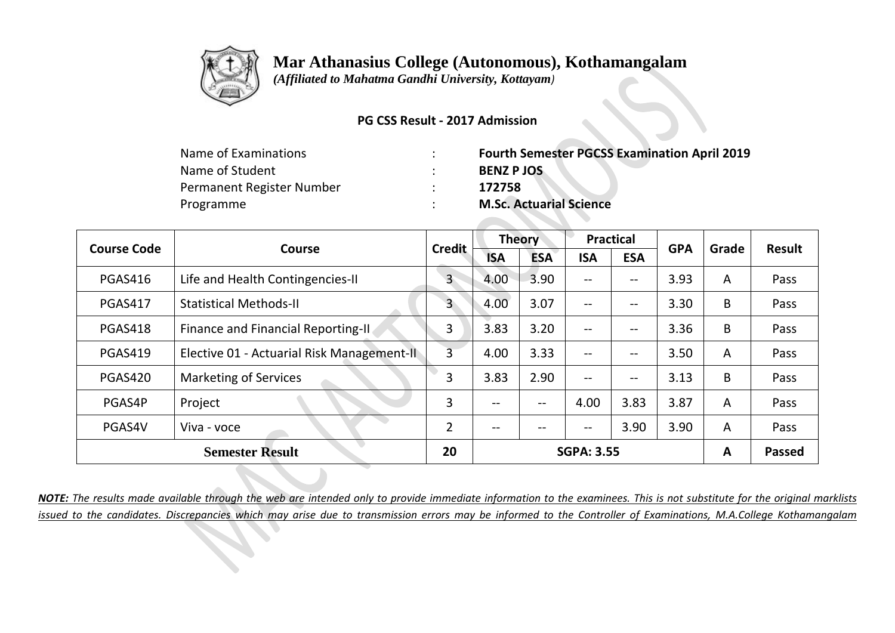

 *(Affiliated to Mahatma Gandhi University, Kottayam)*

#### **PG CSS Result - 2017 Admission**

| Name of Examinations      | <b>Fourth Semester PGCSS Examination April 2019</b> |
|---------------------------|-----------------------------------------------------|
| Name of Student           | <b>BENZ PJOS</b>                                    |
| Permanent Register Number | 172758                                              |
| Programme                 | <b>M.Sc. Actuarial Science</b>                      |

| <b>Course Code</b> | Course                                     | <b>Credit</b>  | <b>Theory</b> |            | <b>Practical</b>                      |            | <b>GPA</b> | Grade          | <b>Result</b> |
|--------------------|--------------------------------------------|----------------|---------------|------------|---------------------------------------|------------|------------|----------------|---------------|
|                    |                                            |                | <b>ISA</b>    | <b>ESA</b> | <b>ISA</b>                            | <b>ESA</b> |            |                |               |
| PGAS416            | Life and Health Contingencies-II           | $\mathsf{3}$   | 4.00          | 3.90       | $- -$                                 | --         | 3.93       | A              | Pass          |
| <b>PGAS417</b>     | <b>Statistical Methods-II</b>              | $\overline{3}$ | 4.00          | 3.07       | $--$                                  | --         | 3.30       | B              | Pass          |
| PGAS418            | Finance and Financial Reporting-II         | 3              | 3.83          | 3.20       | $\qquad \qquad -$                     | --         | 3.36       | B              | Pass          |
| PGAS419            | Elective 01 - Actuarial Risk Management-II | $\overline{3}$ | 4.00          | 3.33       | $\hspace{0.05cm}$ – $\hspace{0.05cm}$ | --         | 3.50       | $\overline{A}$ | Pass          |
| PGAS420            | <b>Marketing of Services</b>               | 3              | 3.83          | 2.90       | $-$                                   | --         | 3.13       | B              | Pass          |
| PGAS4P             | Project                                    | 3              | --            | $- -$      | 4.00                                  | 3.83       | 3.87       | $\overline{A}$ | Pass          |
| PGAS4V             | Viva - voce                                | $\overline{2}$ | --            | --         | $\hspace{0.05cm}$ – $\hspace{0.05cm}$ | 3.90       | 3.90       | $\overline{A}$ | Pass          |
|                    | <b>Semester Result</b>                     | 20             |               |            | <b>SGPA: 3.55</b>                     |            |            | A              | <b>Passed</b> |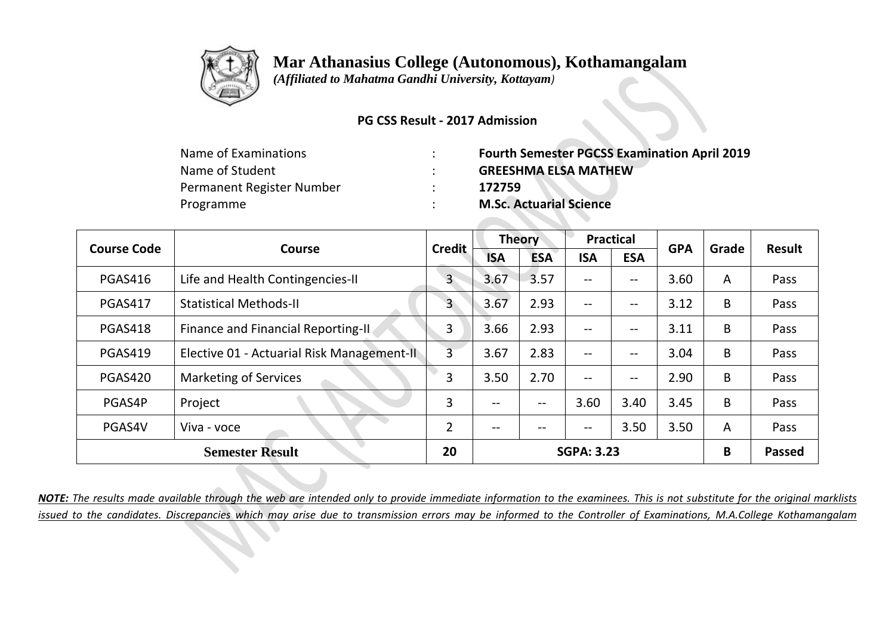

 *(Affiliated to Mahatma Gandhi University, Kottayam)*

### **PG CSS Result - 2017 Admission**

| Name of Examinations      | <b>Fourth Semester PGCSS Examination April 2019</b> |
|---------------------------|-----------------------------------------------------|
| Name of Student           | <b>GREESHMA ELSA MATHEW</b>                         |
| Permanent Register Number | 172759                                              |
| Programme                 | <b>M.Sc. Actuarial Science</b>                      |

| <b>Course Code</b> | Course                                     | <b>Credit</b>  | <b>Theory</b> |            | <b>Practical</b>                      |            | <b>GPA</b> | Grade          | <b>Result</b> |
|--------------------|--------------------------------------------|----------------|---------------|------------|---------------------------------------|------------|------------|----------------|---------------|
|                    |                                            |                | <b>ISA</b>    | <b>ESA</b> | <b>ISA</b>                            | <b>ESA</b> |            |                |               |
| <b>PGAS416</b>     | Life and Health Contingencies-II           | $\overline{3}$ | 3.67          | 3.57       | $\hspace{0.05cm}$ – $\hspace{0.05cm}$ | --         | 3.60       | $\overline{A}$ | Pass          |
| <b>PGAS417</b>     | <b>Statistical Methods-II</b>              | $\overline{3}$ | 3.67          | 2.93       | $--$                                  | --         | 3.12       | B              | Pass          |
| PGAS418            | Finance and Financial Reporting-II         | 3              | 3.66          | 2.93       | $\hspace{0.05cm}$ – $\hspace{0.05cm}$ | --         | 3.11       | B              | Pass          |
| PGAS419            | Elective 01 - Actuarial Risk Management-II | $\overline{3}$ | 3.67          | 2.83       | $--$                                  | --         | 3.04       | B              | Pass          |
| PGAS420            | <b>Marketing of Services</b>               | 3              | 3.50          | 2.70       | $--$                                  | --         | 2.90       | B              | Pass          |
| PGAS4P             | Project                                    | 3              | $- -$         | $- -$      | 3.60                                  | 3.40       | 3.45       | B              | Pass          |
| PGAS4V             | Viva - voce                                | $\overline{2}$ | --            |            | --                                    | 3.50       | 3.50       | $\overline{A}$ | Pass          |
|                    | <b>Semester Result</b>                     | 20             |               |            | <b>SGPA: 3.23</b>                     |            |            | B              | <b>Passed</b> |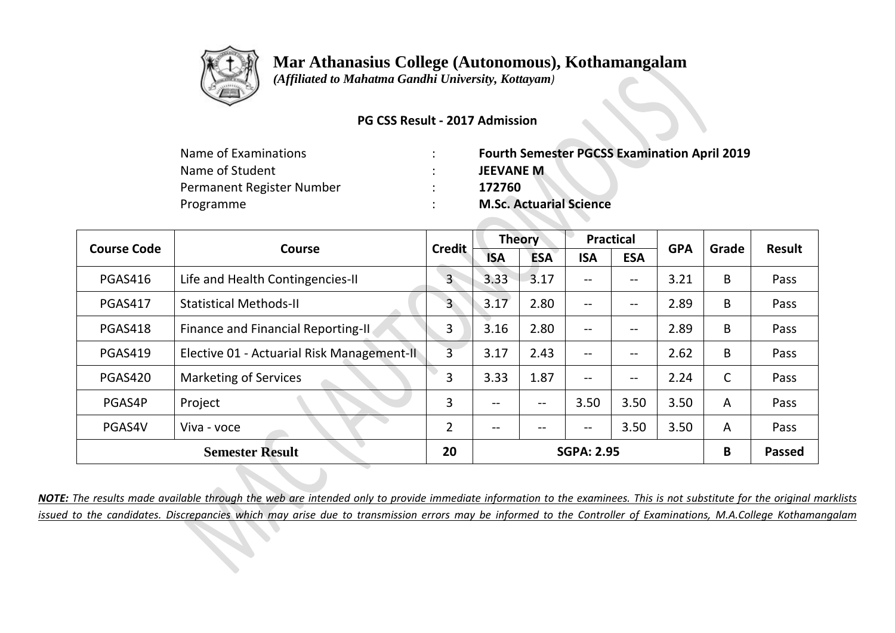

 *(Affiliated to Mahatma Gandhi University, Kottayam)*

#### **PG CSS Result - 2017 Admission**

| Name of Examinations      | <b>Fourth Semester PGCSS Examination April 2019</b> |
|---------------------------|-----------------------------------------------------|
| Name of Student           | <b>JEEVANE M</b>                                    |
| Permanent Register Number | 172760                                              |
| Programme                 | <b>M.Sc. Actuarial Science</b>                      |

| <b>Course Code</b> | Course                                     | <b>Credit</b>  | <b>Theory</b> |            | <b>Practical</b>  |                   | <b>GPA</b> | Grade        | <b>Result</b> |
|--------------------|--------------------------------------------|----------------|---------------|------------|-------------------|-------------------|------------|--------------|---------------|
|                    |                                            |                | <b>ISA</b>    | <b>ESA</b> | <b>ISA</b>        | <b>ESA</b>        |            |              |               |
| <b>PGAS416</b>     | Life and Health Contingencies-II           | $\overline{3}$ | 3.33          | 3.17       | $- -$             | --                | 3.21       | B            | Pass          |
| <b>PGAS417</b>     | <b>Statistical Methods-II</b>              | 3              | 3.17          | 2.80       | $\qquad \qquad -$ | --                | 2.89       | B            | Pass          |
| PGAS418            | <b>Finance and Financial Reporting-II</b>  | 3              | 3.16          | 2.80       | $- -$             | --                | 2.89       | B            | Pass          |
| <b>PGAS419</b>     | Elective 01 - Actuarial Risk Management-II | 3              | 3.17          | 2.43       | $\qquad \qquad -$ | $\qquad \qquad -$ | 2.62       | B            | Pass          |
| <b>PGAS420</b>     | <b>Marketing of Services</b>               | 3              | 3.33          | 1.87       | $\qquad \qquad -$ | $\qquad \qquad -$ | 2.24       | $\mathsf{C}$ | Pass          |
| PGAS4P             | Project                                    | 3              | --            | --         | 3.50              | 3.50              | 3.50       | A            | Pass          |
| PGAS4V             | Viva - voce                                | $\overline{2}$ | --            |            | $- -$             | 3.50              | 3.50       | A            | Pass          |
|                    | <b>Semester Result</b>                     | 20             |               |            | <b>SGPA: 2.95</b> |                   |            | B            | <b>Passed</b> |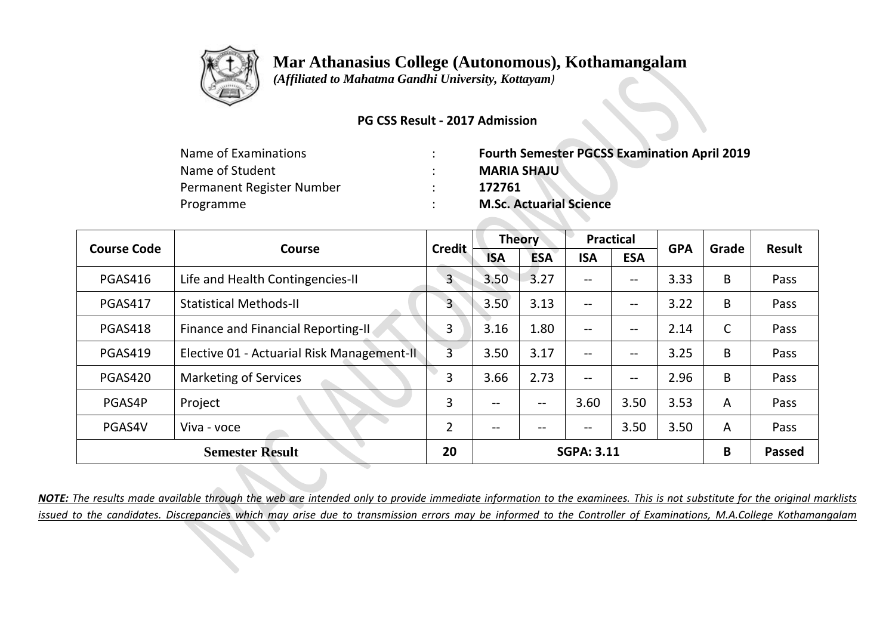

 *(Affiliated to Mahatma Gandhi University, Kottayam)*

#### **PG CSS Result - 2017 Admission**

| Name of Examinations      | <b>Fourth Semester PGCSS Examination April 2019</b> |
|---------------------------|-----------------------------------------------------|
| Name of Student           | <b>MARIA SHAJU</b>                                  |
| Permanent Register Number | 172761                                              |
| Programme                 | <b>M.Sc. Actuarial Science</b>                      |

|                | <b>Course Code</b><br>Course               | <b>Credit</b>  | <b>Theory</b>     |            | <b>Practical</b>                      |            | <b>GPA</b> | Grade          | <b>Result</b> |
|----------------|--------------------------------------------|----------------|-------------------|------------|---------------------------------------|------------|------------|----------------|---------------|
|                |                                            |                | <b>ISA</b>        | <b>ESA</b> | <b>ISA</b>                            | <b>ESA</b> |            |                |               |
| <b>PGAS416</b> | Life and Health Contingencies-II           | 3              | 3.50              | 3.27       | --                                    | --         | 3.33       | B              | Pass          |
| <b>PGAS417</b> | <b>Statistical Methods-II</b>              | 3              | 3.50              | 3.13       | $\hspace{0.05cm}$ – $\hspace{0.05cm}$ | --         | 3.22       | B              | Pass          |
| PGAS418        | Finance and Financial Reporting-II.        | 3              | 3.16              | 1.80       | $\hspace{0.05cm}$ – $\hspace{0.05cm}$ | --         | 2.14       | C              | Pass          |
| <b>PGAS419</b> | Elective 01 - Actuarial Risk Management-II | $\overline{3}$ | 3.50              | 3.17       | $--$                                  | --         | 3.25       | B              | Pass          |
| PGAS420        | <b>Marketing of Services</b>               | 3              | 3.66              | 2.73       | $\hspace{0.05cm}$ – $\hspace{0.05cm}$ | --         | 2.96       | B              | Pass          |
| PGAS4P         | Project                                    | 3              | $\qquad \qquad -$ | $- -$      | 3.60                                  | 3.50       | 3.53       | A              | Pass          |
| PGAS4V         | Viva - voce                                | $\overline{2}$ | --                |            | --                                    | 3.50       | 3.50       | $\overline{A}$ | Pass          |
|                | <b>Semester Result</b>                     | 20             |                   |            | <b>SGPA: 3.11</b>                     |            |            | B              | <b>Passed</b> |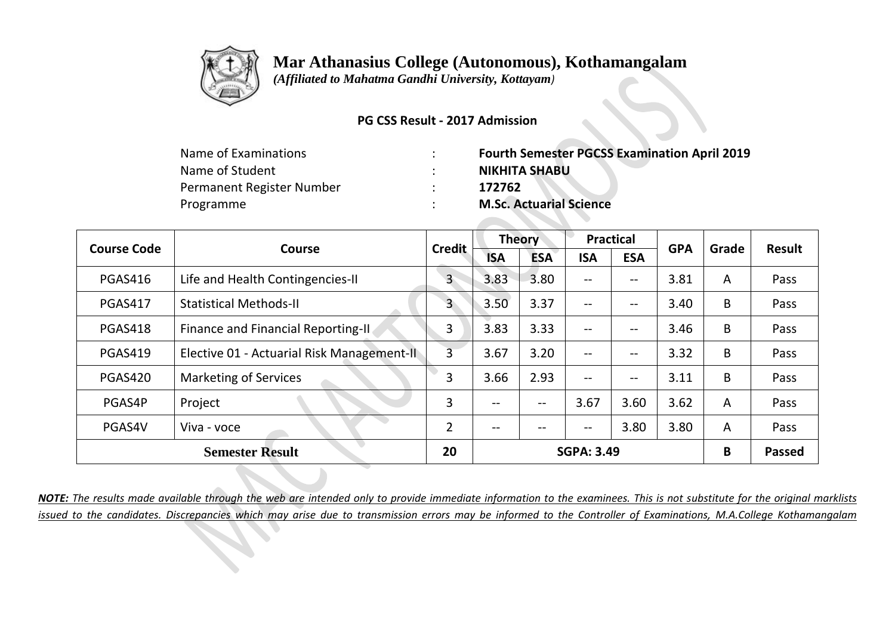

 *(Affiliated to Mahatma Gandhi University, Kottayam)*

#### **PG CSS Result - 2017 Admission**

| <b>Fourth Semester PGCSS Examination April 2019</b> |
|-----------------------------------------------------|
| <b>NIKHITA SHABU</b>                                |
| 172762                                              |
| <b>M.Sc. Actuarial Science</b>                      |
|                                                     |

|                | <b>Course Code</b><br>Course               | <b>Credit</b>  |            | <b>Theory</b> |                   | <b>Practical</b> | <b>GPA</b> | Grade | Result        |
|----------------|--------------------------------------------|----------------|------------|---------------|-------------------|------------------|------------|-------|---------------|
|                |                                            |                | <b>ISA</b> | <b>ESA</b>    | <b>ISA</b>        | <b>ESA</b>       |            |       |               |
| <b>PGAS416</b> | Life and Health Contingencies-II           | $\mathsf{3}$   | 3.83       | 3.80          | $-$               | --               | 3.81       | A     | Pass          |
| <b>PGAS417</b> | <b>Statistical Methods-II</b>              | 3              | 3.50       | 3.37          | $\qquad \qquad -$ | --               | 3.40       | B     | Pass          |
| PGAS418        | Finance and Financial Reporting-II         | 3              | 3.83       | 3.33          | $\qquad \qquad -$ | $- -$            | 3.46       | B     | Pass          |
| <b>PGAS419</b> | Elective 01 - Actuarial Risk Management-II | $\overline{3}$ | 3.67       | 3.20          | $\qquad \qquad -$ | $-\!$ $-$        | 3.32       | B     | Pass          |
| PGAS420        | <b>Marketing of Services</b>               | 3              | 3.66       | 2.93          | $-$               | --               | 3.11       | B     | Pass          |
| PGAS4P         | Project                                    | 3              | $- -$      | $-$           | 3.67              | 3.60             | 3.62       | A     | Pass          |
| PGAS4V         | Viva - voce                                | $\overline{2}$ | --         |               | $-\!$ $\!-$       | 3.80             | 3.80       | A     | Pass          |
|                | <b>Semester Result</b>                     | 20             |            |               | <b>SGPA: 3.49</b> |                  |            | B     | <b>Passed</b> |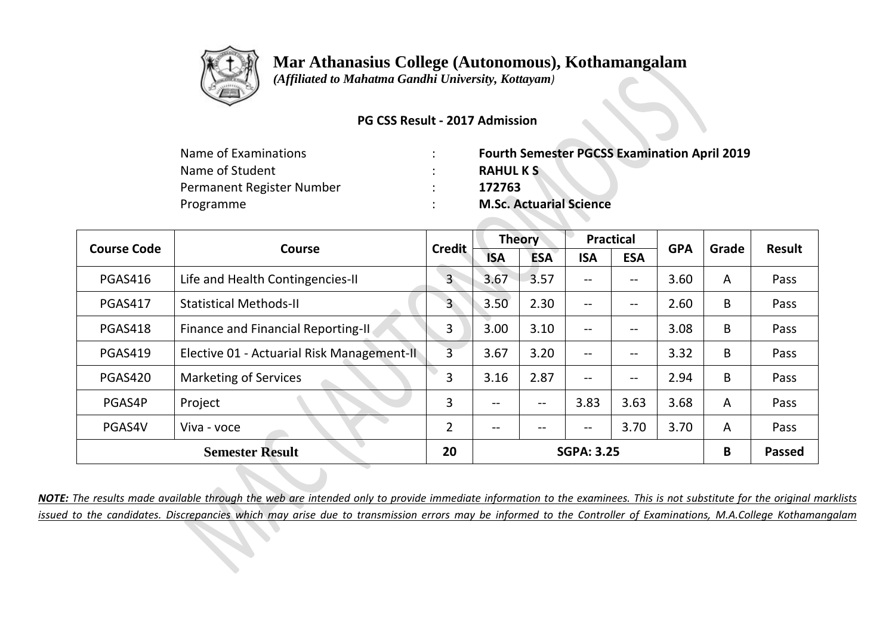

 *(Affiliated to Mahatma Gandhi University, Kottayam)*

#### **PG CSS Result - 2017 Admission**

| Name of Examinations      | <b>Fourth Semester PGCSS Examination April 2019</b> |
|---------------------------|-----------------------------------------------------|
| Name of Student           | <b>RAHULKS</b>                                      |
| Permanent Register Number | 172763                                              |
| Programme                 | <b>M.Sc. Actuarial Science</b>                      |

| <b>Course Code</b> | Course                                     | <b>Credit</b>  | <b>Theory</b> |            | <b>Practical</b>                      |            | <b>GPA</b> | Grade          | Result        |
|--------------------|--------------------------------------------|----------------|---------------|------------|---------------------------------------|------------|------------|----------------|---------------|
|                    |                                            |                | <b>ISA</b>    | <b>ESA</b> | <b>ISA</b>                            | <b>ESA</b> |            |                |               |
| <b>PGAS416</b>     | Life and Health Contingencies-II           | $\overline{3}$ | 3.67          | 3.57       | $\hspace{0.05cm}$ – $\hspace{0.05cm}$ | --         | 3.60       | $\overline{A}$ | Pass          |
| <b>PGAS417</b>     | <b>Statistical Methods-II</b>              | $\overline{3}$ | 3.50          | 2.30       | $--$                                  | --         | 2.60       | B              | Pass          |
| PGAS418            | Finance and Financial Reporting-II         | 3              | 3.00          | 3.10       | $\hspace{0.05cm}$ – $\hspace{0.05cm}$ | --         | 3.08       | B              | Pass          |
| PGAS419            | Elective 01 - Actuarial Risk Management-II | $\overline{3}$ | 3.67          | 3.20       | $--$                                  | --         | 3.32       | B              | Pass          |
| PGAS420            | <b>Marketing of Services</b>               | 3              | 3.16          | 2.87       | $\hspace{0.05cm}$ – $\hspace{0.05cm}$ | --         | 2.94       | B              | Pass          |
| PGAS4P             | Project                                    | 3              | --            | $- -$      | 3.83                                  | 3.63       | 3.68       | $\overline{A}$ | Pass          |
| PGAS4V             | Viva - voce                                | $\overline{2}$ | --            |            | --                                    | 3.70       | 3.70       | $\overline{A}$ | Pass          |
|                    | <b>Semester Result</b>                     | 20             |               |            | <b>SGPA: 3.25</b>                     |            |            | B              | <b>Passed</b> |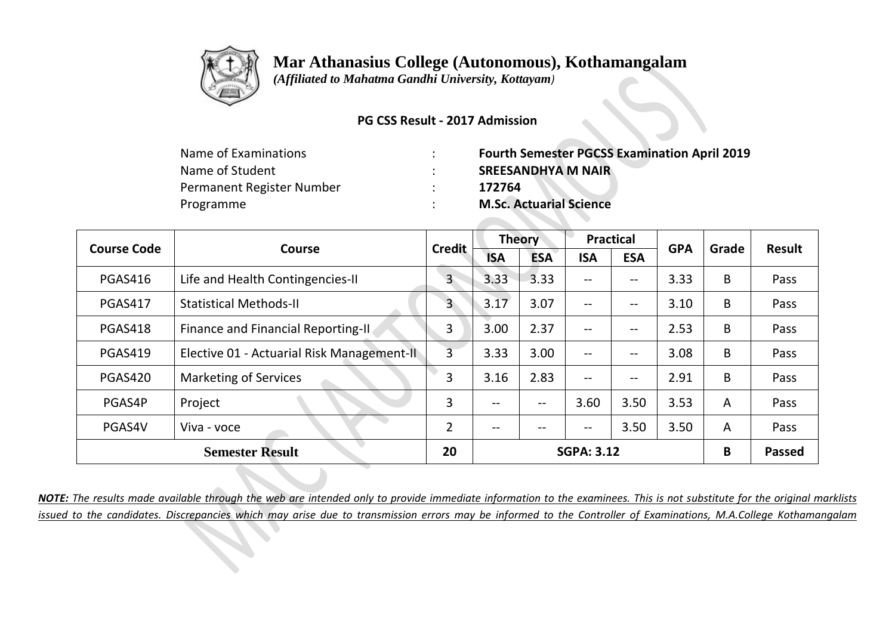

 *(Affiliated to Mahatma Gandhi University, Kottayam)*

### **PG CSS Result - 2017 Admission**

| Name of Examinations      | <b>Fourth Semester PGCSS Examination April 2019</b> |
|---------------------------|-----------------------------------------------------|
| Name of Student           | <b>SREESANDHYA M NAIR</b>                           |
| Permanent Register Number | 172764                                              |
| Programme                 | <b>M.Sc. Actuarial Science</b>                      |
|                           |                                                     |

| <b>Course Code</b> | Course                                     | <b>Credit</b>  | <b>Theory</b>     |                   | <b>Practical</b>         |                   | <b>GPA</b> | Grade          | Result        |
|--------------------|--------------------------------------------|----------------|-------------------|-------------------|--------------------------|-------------------|------------|----------------|---------------|
|                    |                                            |                | <b>ISA</b>        | <b>ESA</b>        | <b>ISA</b>               | <b>ESA</b>        |            |                |               |
| <b>PGAS416</b>     | Life and Health Contingencies-II           | 3              | 3.33              | 3.33              | $- -$                    | --                | 3.33       | B              | Pass          |
| <b>PGAS417</b>     | <b>Statistical Methods-II</b>              | 3              | 3.17              | 3.07              | $\qquad \qquad -$        | --                | 3.10       | B              | Pass          |
| PGAS418            | Finance and Financial Reporting-II.        | 3              | 3.00              | 2.37              | $- -$                    | $\qquad \qquad -$ | 2.53       | B              | Pass          |
| <b>PGAS419</b>     | Elective 01 - Actuarial Risk Management-II | $\overline{3}$ | 3.33              | 3.00              | $\qquad \qquad -$        | $- -$             | 3.08       | B              | Pass          |
| PGAS420            | <b>Marketing of Services</b>               | 3              | 3.16              | 2.83              | $\overline{\phantom{a}}$ | $-\!$ $-$         | 2.91       | B              | Pass          |
| PGAS4P             | Project                                    | 3              | $\qquad \qquad -$ | $\qquad \qquad -$ | 3.60                     | 3.50              | 3.53       | A              | Pass          |
| PGAS4V             | Viva - voce                                | $\overline{2}$ | $- -$             | --                | --                       | 3.50              | 3.50       | $\overline{A}$ | Pass          |
|                    | <b>Semester Result</b>                     | 20             |                   |                   | <b>SGPA: 3.12</b>        |                   |            | B              | <b>Passed</b> |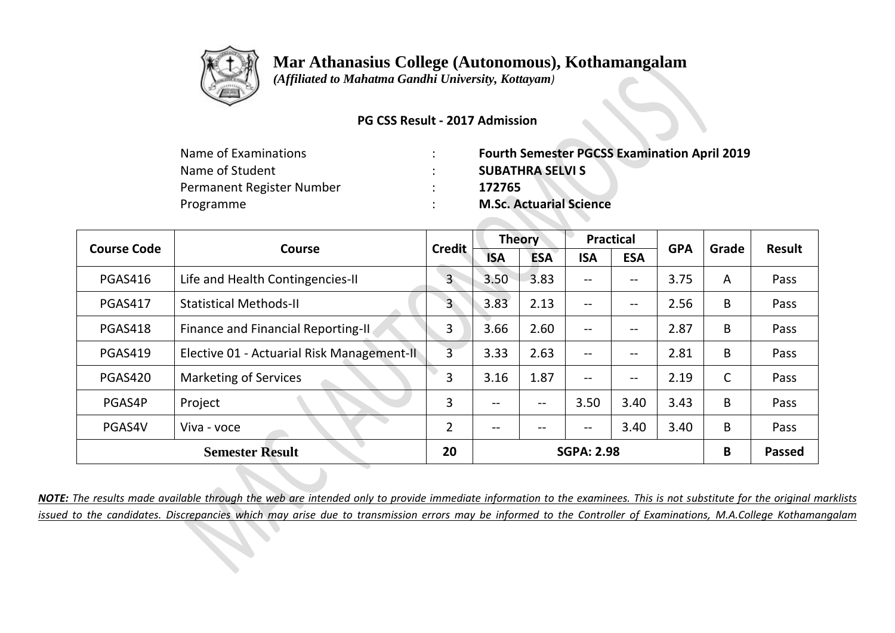

 *(Affiliated to Mahatma Gandhi University, Kottayam)*

### **PG CSS Result - 2017 Admission**

| <b>Fourth Semester PGCSS Examination April 2019</b> |
|-----------------------------------------------------|
| <b>SUBATHRA SELVI S</b>                             |
| 172765                                              |
| <b>M.Sc. Actuarial Science</b>                      |
|                                                     |

| <b>Course Code</b> | <b>Course</b>                                     | <b>Credit</b>  | <b>Theory</b>     |                   | <b>Practical</b>  |                   | <b>GPA</b> | Grade | <b>Result</b> |
|--------------------|---------------------------------------------------|----------------|-------------------|-------------------|-------------------|-------------------|------------|-------|---------------|
|                    |                                                   |                | <b>ISA</b>        | <b>ESA</b>        | <b>ISA</b>        | <b>ESA</b>        |            |       |               |
| <b>PGAS416</b>     | Life and Health Contingencies-II                  | 3              | 3.50              | 3.83              | $- -$             | --                | 3.75       | A     | Pass          |
| <b>PGAS417</b>     | <b>Statistical Methods-II</b>                     | 3              | 3.83              | 2.13              | $-$               | $\qquad \qquad -$ | 2.56       | B     | Pass          |
| PGAS418            | <b>Finance and Financial Reporting-II</b>         | 3              | 3.66              | 2.60              | $\qquad \qquad -$ | $-\!$ $-$         | 2.87       | B     | Pass          |
| <b>PGAS419</b>     | Elective 01 - Actuarial Risk Management-II        | $\overline{3}$ | 3.33              | 2.63              | $-$               | $\qquad \qquad -$ | 2.81       | B     | Pass          |
| PGAS420            | <b>Marketing of Services</b>                      | 3              | 3.16              | 1.87              | $\qquad \qquad -$ | $\qquad \qquad -$ | 2.19       | C     | Pass          |
| PGAS4P             | Project                                           | 3              | $\qquad \qquad -$ | $\qquad \qquad -$ | 3.50              | 3.40              | 3.43       | B     | Pass          |
| PGAS4V             | Viva - voce                                       | $\overline{2}$ | $- -$             | --                | $\qquad \qquad -$ | 3.40              | 3.40       | B     | Pass          |
|                    | 20<br><b>Semester Result</b><br><b>SGPA: 2.98</b> |                |                   | B                 | <b>Passed</b>     |                   |            |       |               |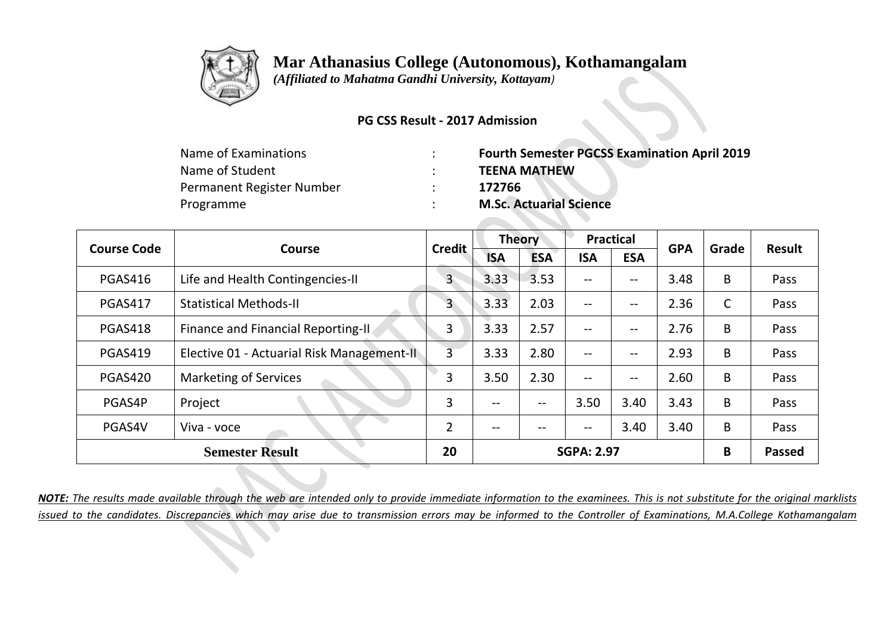

 *(Affiliated to Mahatma Gandhi University, Kottayam)*

### **PG CSS Result - 2017 Admission**

| <b>Fourth Semester PGCSS Examination April 2019</b> |
|-----------------------------------------------------|
| <b>TEENA MATHEW</b>                                 |
| 172766                                              |
| <b>M.Sc. Actuarial Science</b>                      |
|                                                     |

| <b>Course Code</b>     | <b>Course</b>                              | <b>Credit</b>  | <b>Theory</b>     |            | <b>Practical</b>                      |            | <b>GPA</b> | Grade        | <b>Result</b> |
|------------------------|--------------------------------------------|----------------|-------------------|------------|---------------------------------------|------------|------------|--------------|---------------|
|                        |                                            |                | <b>ISA</b>        | <b>ESA</b> | <b>ISA</b>                            | <b>ESA</b> |            |              |               |
| <b>PGAS416</b>         | Life and Health Contingencies-II           | 3              | 3.33              | 3.53       | $\overline{\phantom{m}}$              | --         | 3.48       | B            | Pass          |
| <b>PGAS417</b>         | <b>Statistical Methods-II</b>              | 3              | 3.33              | 2.03       | $-$                                   | --         | 2.36       | $\mathsf{C}$ | Pass          |
| PGAS418                | Finance and Financial Reporting-II.        | 3              | 3.33              | 2.57       | $\hspace{0.05cm}$ – $\hspace{0.05cm}$ | --         | 2.76       | B            | Pass          |
| <b>PGAS419</b>         | Elective 01 - Actuarial Risk Management-II | $\overline{3}$ | 3.33              | 2.80       | $\qquad \qquad -$                     | --         | 2.93       | B            | Pass          |
| PGAS420                | <b>Marketing of Services</b>               | 3              | 3.50              | 2.30       | $\hspace{0.05cm}$ – $\hspace{0.05cm}$ | --         | 2.60       | B            | Pass          |
| PGAS4P                 | Project                                    | 3              | --                | $- -$      | 3.50                                  | 3.40       | 3.43       | B            | Pass          |
| PGAS4V                 | Viva - voce                                | $\overline{2}$ | $\qquad \qquad -$ | --         | $\hspace{0.05cm}$ – $\hspace{0.05cm}$ | 3.40       | 3.40       | B            | Pass          |
| <b>Semester Result</b> |                                            | 20             |                   |            | <b>SGPA: 2.97</b>                     |            |            | B            | <b>Passed</b> |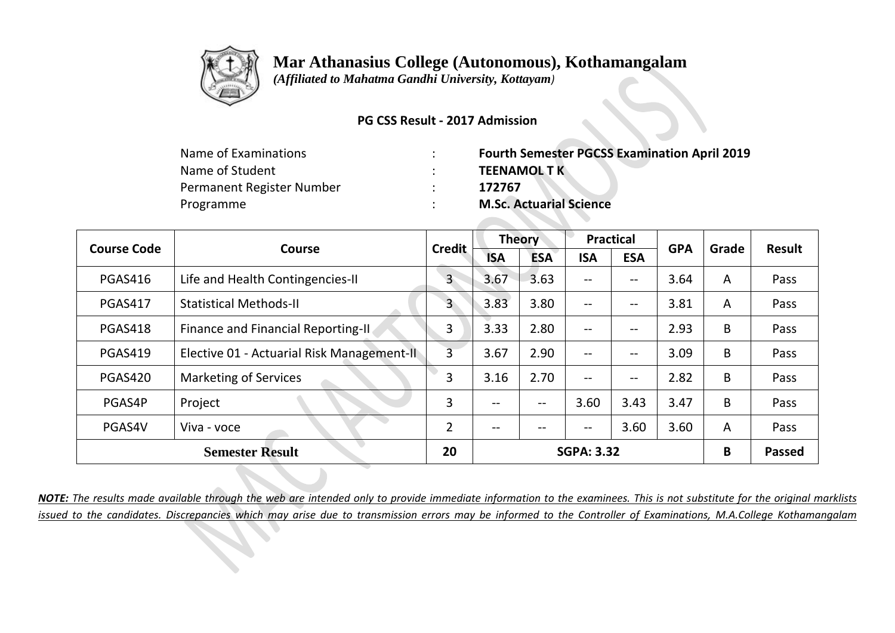

 *(Affiliated to Mahatma Gandhi University, Kottayam)*

### **PG CSS Result - 2017 Admission**

| <b>Fourth Semester PGCSS Examination April 2019</b> |
|-----------------------------------------------------|
| <b>TEENAMOLTK</b>                                   |
| 172767                                              |
| <b>M.Sc. Actuarial Science</b>                      |
|                                                     |

| <b>Course Code</b> | Course                                     | <b>Credit</b>  | <b>Theory</b> |            | <b>Practical</b>  |                   | <b>GPA</b> | Grade | <b>Result</b> |
|--------------------|--------------------------------------------|----------------|---------------|------------|-------------------|-------------------|------------|-------|---------------|
|                    |                                            |                | <b>ISA</b>    | <b>ESA</b> | <b>ISA</b>        | <b>ESA</b>        |            |       |               |
| <b>PGAS416</b>     | Life and Health Contingencies-II           | $\mathsf{3}$   | 3.67          | 3.63       | $\qquad \qquad -$ | --                | 3.64       | A     | Pass          |
| <b>PGAS417</b>     | <b>Statistical Methods-II</b>              | 3              | 3.83          | 3.80       | $\qquad \qquad -$ | --                | 3.81       | A     | Pass          |
| PGAS418            | Finance and Financial Reporting-II.        | 3              | 3.33          | 2.80       | $- -$             | --                | 2.93       | B     | Pass          |
| <b>PGAS419</b>     | Elective 01 - Actuarial Risk Management-II | $\overline{3}$ | 3.67          | 2.90       | $\qquad \qquad -$ | $\qquad \qquad -$ | 3.09       | B     | Pass          |
| <b>PGAS420</b>     | <b>Marketing of Services</b>               | 3              | 3.16          | 2.70       | $\qquad \qquad -$ | $\qquad \qquad -$ | 2.82       | B     | Pass          |
| PGAS4P             | Project                                    | 3              | --            | $- -$      | 3.60              | 3.43              | 3.47       | B     | Pass          |
| PGAS4V             | Viva - voce                                | $\overline{2}$ | --            |            | $- -$             | 3.60              | 3.60       | A     | Pass          |
|                    | <b>Semester Result</b>                     | 20             |               |            | <b>SGPA: 3.32</b> |                   |            | B     | <b>Passed</b> |